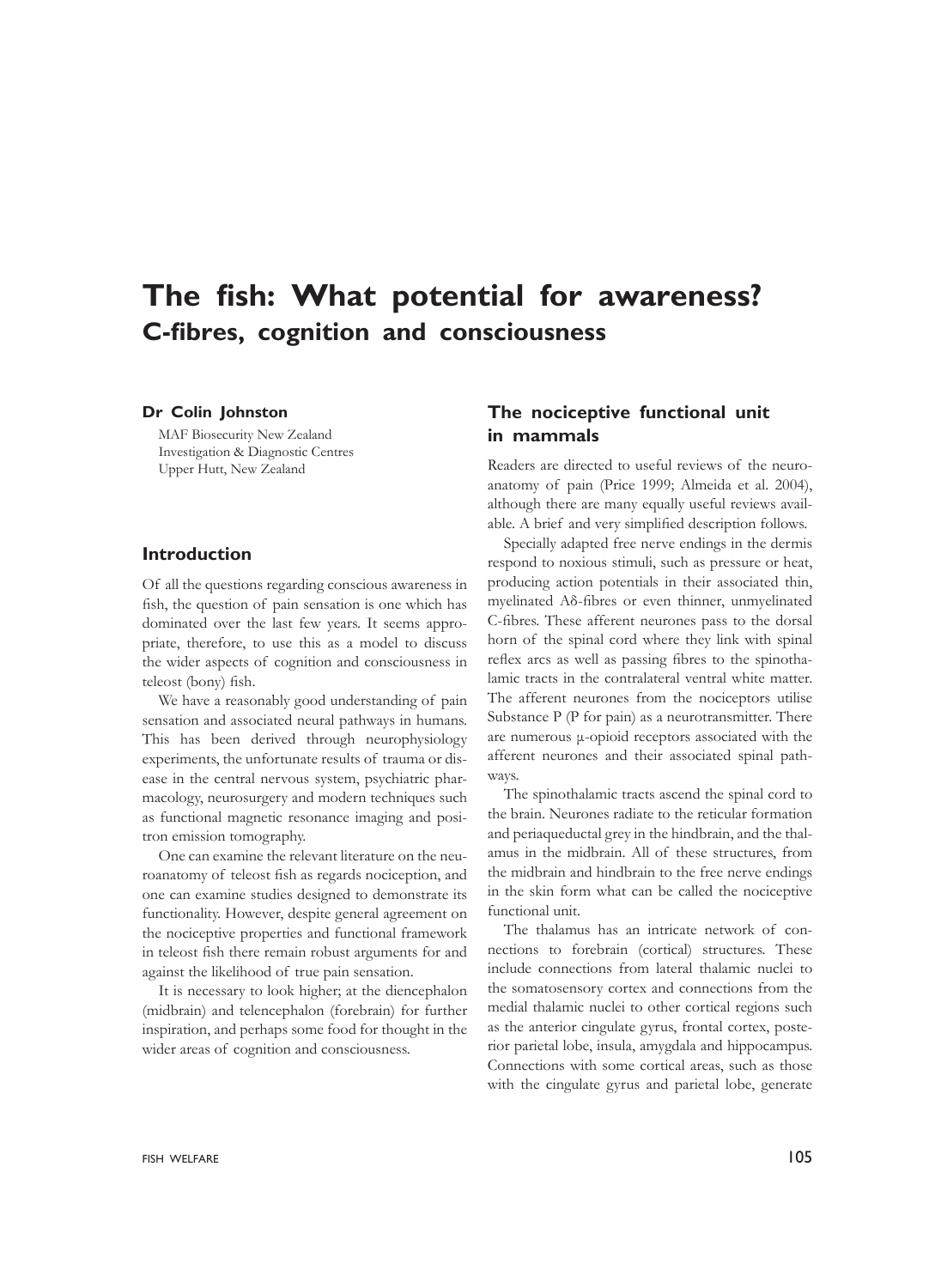# **The fish: What potential for awareness? C-fibres, cognition and consciousness**

#### **Dr Colin Johnston**

MAF Biosecurity New Zealand Investigation & Diagnostic Centres Upper Hutt, New Zealand

## **Introduction**

Of all the questions regarding conscious awareness in fish, the question of pain sensation is one which has dominated over the last few years. It seems appropriate, therefore, to use this as a model to discuss the wider aspects of cognition and consciousness in teleost (bony) fish.

We have a reasonably good understanding of pain sensation and associated neural pathways in humans. This has been derived through neurophysiology experiments, the unfortunate results of trauma or disease in the central nervous system, psychiatric pharmacology, neurosurgery and modern techniques such as functional magnetic resonance imaging and positron emission tomography.

One can examine the relevant literature on the neuroanatomy of teleost fish as regards nociception, and one can examine studies designed to demonstrate its functionality. However, despite general agreement on the nociceptive properties and functional framework in teleost fish there remain robust arguments for and against the likelihood of true pain sensation.

It is necessary to look higher; at the diencephalon (midbrain) and telencephalon (forebrain) for further inspiration, and perhaps some food for thought in the wider areas of cognition and consciousness.

# **The nociceptive functional unit in mammals**

Readers are directed to useful reviews of the neuroanatomy of pain (Price 1999; Almeida et al. 2004), although there are many equally useful reviews available. A brief and very simplified description follows.

Specially adapted free nerve endings in the dermis respond to noxious stimuli, such as pressure or heat, producing action potentials in their associated thin, myelinated Aδ-fibres or even thinner, unmyelinated C-fibres. These afferent neurones pass to the dorsal horn of the spinal cord where they link with spinal reflex arcs as well as passing fibres to the spinothalamic tracts in the contralateral ventral white matter. The afferent neurones from the nociceptors utilise Substance P (P for pain) as a neurotransmitter. There are numerous μ-opioid receptors associated with the afferent neurones and their associated spinal pathways.

The spinothalamic tracts ascend the spinal cord to the brain. Neurones radiate to the reticular formation and periaqueductal grey in the hindbrain, and the thalamus in the midbrain. All of these structures, from the midbrain and hindbrain to the free nerve endings in the skin form what can be called the nociceptive functional unit.

The thalamus has an intricate network of connections to forebrain (cortical) structures. These include connections from lateral thalamic nuclei to the somatosensory cortex and connections from the medial thalamic nuclei to other cortical regions such as the anterior cingulate gyrus, frontal cortex, posterior parietal lobe, insula, amygdala and hippocampus. Connections with some cortical areas, such as those with the cingulate gyrus and parietal lobe, generate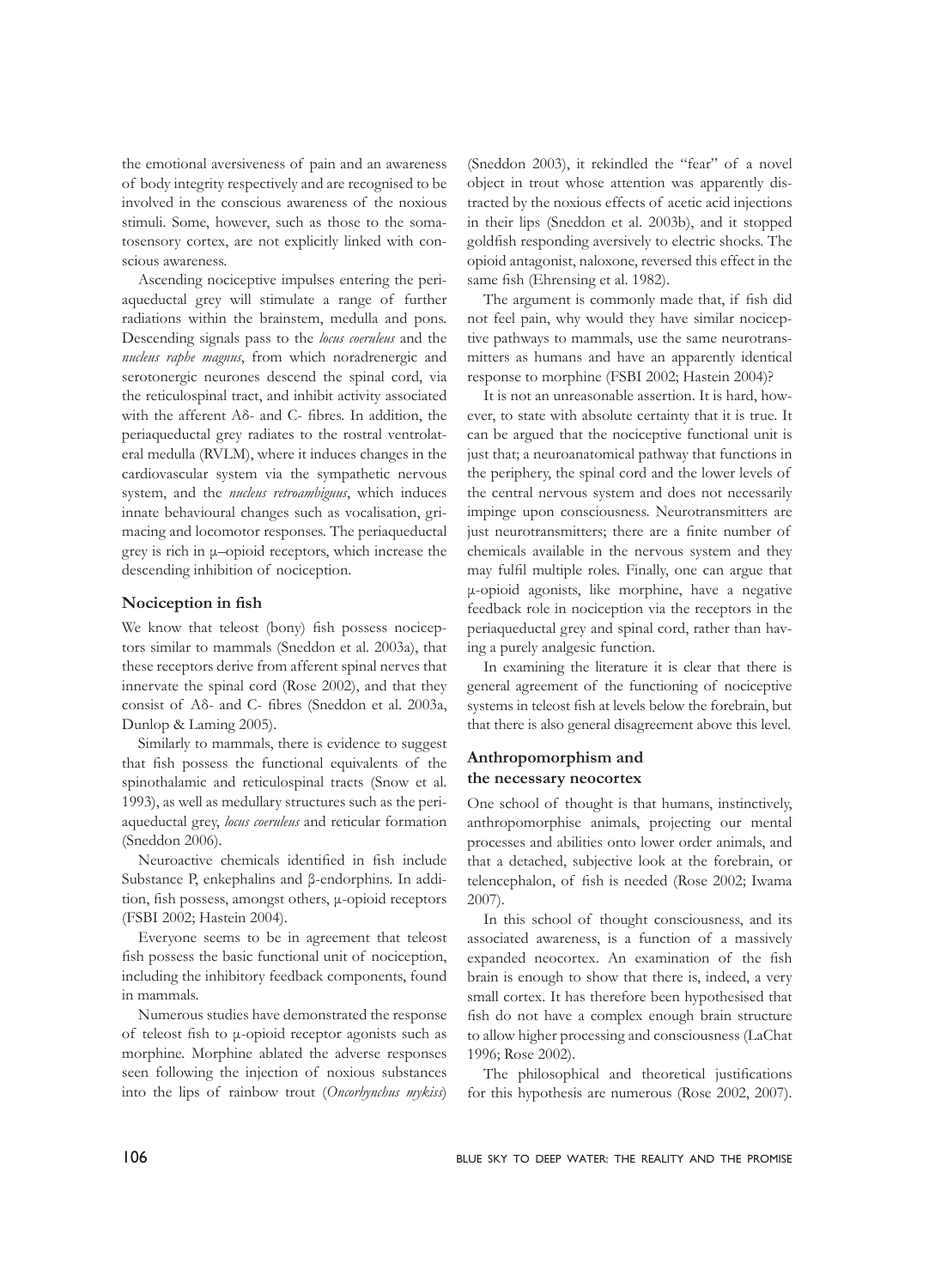the emotional aversiveness of pain and an awareness of body integrity respectively and are recognised to be involved in the conscious awareness of the noxious stimuli. Some, however, such as those to the somatosensory cortex, are not explicitly linked with conscious awareness.

Ascending nociceptive impulses entering the periaqueductal grey will stimulate a range of further radiations within the brainstem, medulla and pons. Descending signals pass to the *locus coeruleus* and the *nucleus raphe magnus*, from which noradrenergic and serotonergic neurones descend the spinal cord, via the reticulospinal tract, and inhibit activity associated with the afferent Aδ- and C- fibres. In addition, the periaqueductal grey radiates to the rostral ventrolateral medulla (RVLM), where it induces changes in the cardiovascular system via the sympathetic nervous system, and the *nucleus retroambiguus*, which induces innate behavioural changes such as vocalisation, grimacing and locomotor responses. The periaqueductal grey is rich in μ–opioid receptors, which increase the descending inhibition of nociception.

#### **Nociception in fish**

We know that teleost (bony) fish possess nociceptors similar to mammals (Sneddon et al*.* 2003a), that these receptors derive from afferent spinal nerves that innervate the spinal cord (Rose 2002), and that they consist of Aδ- and C- fibres (Sneddon et al. 2003a, Dunlop & Laming 2005).

Similarly to mammals, there is evidence to suggest that fish possess the functional equivalents of the spinothalamic and reticulospinal tracts (Snow et al. 1993), as well as medullary structures such as the periaqueductal grey, *locus coeruleus* and reticular formation (Sneddon 2006).

Neuroactive chemicals identified in fish include Substance P, enkephalins and β-endorphins. In addition, fish possess, amongst others, μ‑opioid receptors (FSBI 2002; Hastein 2004).

Everyone seems to be in agreement that teleost fish possess the basic functional unit of nociception, including the inhibitory feedback components, found in mammals.

Numerous studies have demonstrated the response of teleost fish to μ‑opioid receptor agonists such as morphine. Morphine ablated the adverse responses seen following the injection of noxious substances into the lips of rainbow trout (*Oncorhynchus mykiss*)

(Sneddon 2003), it rekindled the "fear" of a novel object in trout whose attention was apparently distracted by the noxious effects of acetic acid injections in their lips (Sneddon et al. 2003b), and it stopped goldfish responding aversively to electric shocks. The opioid antagonist, naloxone, reversed this effect in the same fish (Ehrensing et al. 1982).

The argument is commonly made that, if fish did not feel pain, why would they have similar nociceptive pathways to mammals, use the same neurotransmitters as humans and have an apparently identical response to morphine (FSBI 2002; Hastein 2004)?

It is not an unreasonable assertion. It is hard, however, to state with absolute certainty that it is true. It can be argued that the nociceptive functional unit is just that; a neuroanatomical pathway that functions in the periphery, the spinal cord and the lower levels of the central nervous system and does not necessarily impinge upon consciousness. Neurotransmitters are just neurotransmitters; there are a finite number of chemicals available in the nervous system and they may fulfil multiple roles. Finally, one can argue that μ-opioid agonists, like morphine, have a negative feedback role in nociception via the receptors in the periaqueductal grey and spinal cord, rather than having a purely analgesic function.

In examining the literature it is clear that there is general agreement of the functioning of nociceptive systems in teleost fish at levels below the forebrain, but that there is also general disagreement above this level.

#### **Anthropomorphism and the necessary neocortex**

One school of thought is that humans, instinctively, anthropomorphise animals, projecting our mental processes and abilities onto lower order animals, and that a detached, subjective look at the forebrain, or telencephalon, of fish is needed (Rose 2002; Iwama 2007).

In this school of thought consciousness, and its associated awareness, is a function of a massively expanded neocortex. An examination of the fish brain is enough to show that there is, indeed, a very small cortex. It has therefore been hypothesised that fish do not have a complex enough brain structure to allow higher processing and consciousness (LaChat 1996; Rose 2002).

The philosophical and theoretical justifications for this hypothesis are numerous (Rose 2002, 2007).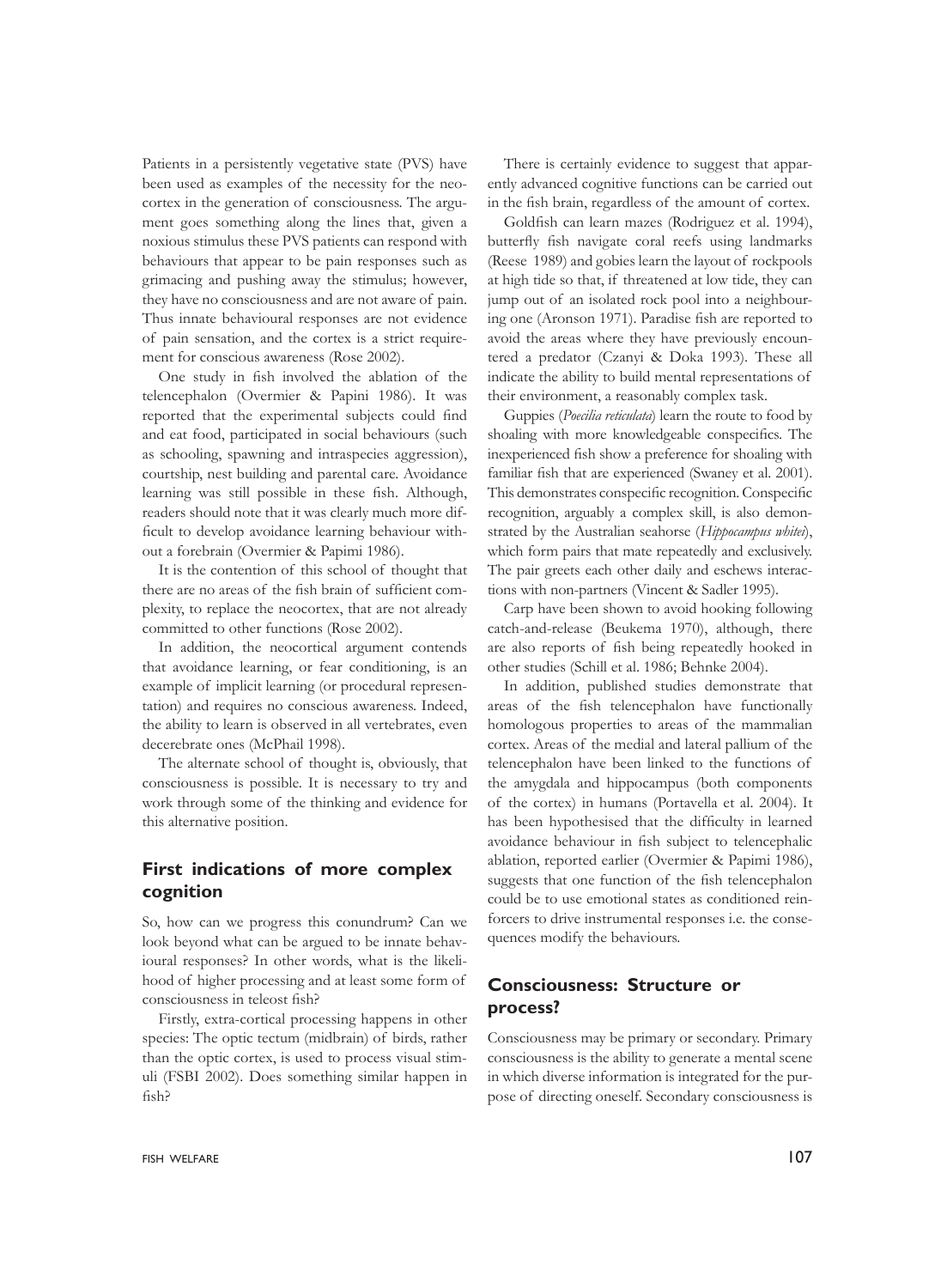Patients in a persistently vegetative state (PVS) have been used as examples of the necessity for the neocortex in the generation of consciousness. The argument goes something along the lines that, given a noxious stimulus these PVS patients can respond with behaviours that appear to be pain responses such as grimacing and pushing away the stimulus; however, they have no consciousness and are not aware of pain. Thus innate behavioural responses are not evidence of pain sensation, and the cortex is a strict requirement for conscious awareness (Rose 2002).

One study in fish involved the ablation of the telencephalon (Overmier & Papini 1986). It was reported that the experimental subjects could find and eat food, participated in social behaviours (such as schooling, spawning and intraspecies aggression), courtship, nest building and parental care. Avoidance learning was still possible in these fish. Although, readers should note that it was clearly much more difficult to develop avoidance learning behaviour without a forebrain (Overmier & Papimi 1986).

It is the contention of this school of thought that there are no areas of the fish brain of sufficient complexity, to replace the neocortex, that are not already committed to other functions (Rose 2002).

In addition, the neocortical argument contends that avoidance learning, or fear conditioning, is an example of implicit learning (or procedural representation) and requires no conscious awareness. Indeed, the ability to learn is observed in all vertebrates, even decerebrate ones (McPhail 1998).

The alternate school of thought is, obviously, that consciousness is possible. It is necessary to try and work through some of the thinking and evidence for this alternative position.

## **First indications of more complex cognition**

So, how can we progress this conundrum? Can we look beyond what can be argued to be innate behavioural responses? In other words, what is the likelihood of higher processing and at least some form of consciousness in teleost fish?

Firstly, extra-cortical processing happens in other species: The optic tectum (midbrain) of birds, rather than the optic cortex, is used to process visual stimuli (FSBI 2002). Does something similar happen in fish?

There is certainly evidence to suggest that apparently advanced cognitive functions can be carried out in the fish brain, regardless of the amount of cortex.

Goldfish can learn mazes (Rodriguez et al. 1994), butterfly fish navigate coral reefs using landmarks (Reese 1989) and gobies learn the layout of rockpools at high tide so that, if threatened at low tide, they can jump out of an isolated rock pool into a neighbouring one (Aronson 1971). Paradise fish are reported to avoid the areas where they have previously encountered a predator (Czanyi & Doka 1993). These all indicate the ability to build mental representations of their environment, a reasonably complex task.

Guppies (*Poecilia reticulata*) learn the route to food by shoaling with more knowledgeable conspecifics. The inexperienced fish show a preference for shoaling with familiar fish that are experienced (Swaney et al. 2001). This demonstrates conspecific recognition. Conspecific recognition, arguably a complex skill, is also demonstrated by the Australian seahorse (*Hippocampus whitei*), which form pairs that mate repeatedly and exclusively. The pair greets each other daily and eschews interactions with non-partners (Vincent & Sadler 1995).

Carp have been shown to avoid hooking following catch-and-release (Beukema 1970), although, there are also reports of fish being repeatedly hooked in other studies (Schill et al. 1986; Behnke 2004).

In addition, published studies demonstrate that areas of the fish telencephalon have functionally homologous properties to areas of the mammalian cortex. Areas of the medial and lateral pallium of the telencephalon have been linked to the functions of the amygdala and hippocampus (both components of the cortex) in humans (Portavella et al. 2004). It has been hypothesised that the difficulty in learned avoidance behaviour in fish subject to telencephalic ablation, reported earlier (Overmier & Papimi 1986), suggests that one function of the fish telencephalon could be to use emotional states as conditioned reinforcers to drive instrumental responses i.e. the consequences modify the behaviours.

## **Consciousness: Structure or process?**

Consciousness may be primary or secondary. Primary consciousness is the ability to generate a mental scene in which diverse information is integrated for the purpose of directing oneself. Secondary consciousness is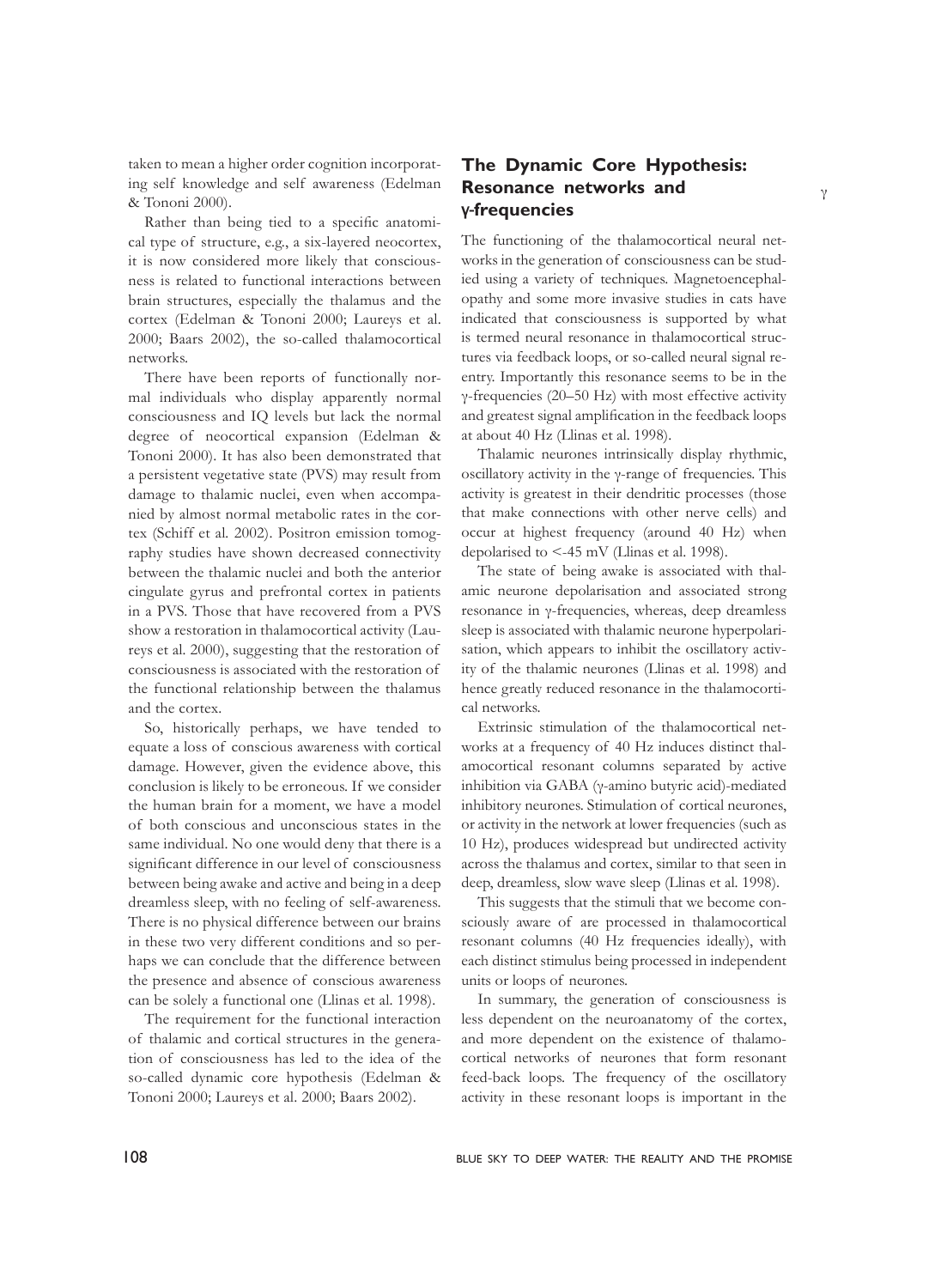taken to mean a higher order cognition incorporating self knowledge and self awareness (Edelman & Tononi 2000).

Rather than being tied to a specific anatomical type of structure, e.g., a six-layered neocortex, it is now considered more likely that consciousness is related to functional interactions between brain structures, especially the thalamus and the cortex (Edelman & Tononi 2000; Laureys et al. 2000; Baars 2002), the so-called thalamocortical networks.

There have been reports of functionally normal individuals who display apparently normal consciousness and IQ levels but lack the normal degree of neocortical expansion (Edelman & Tononi 2000). It has also been demonstrated that a persistent vegetative state (PVS) may result from damage to thalamic nuclei, even when accompanied by almost normal metabolic rates in the cortex (Schiff et al*.* 2002). Positron emission tomography studies have shown decreased connectivity between the thalamic nuclei and both the anterior cingulate gyrus and prefrontal cortex in patients in a PVS. Those that have recovered from a PVS show a restoration in thalamocortical activity (Laureys et al*.* 2000), suggesting that the restoration of consciousness is associated with the restoration of the functional relationship between the thalamus and the cortex.

So, historically perhaps, we have tended to equate a loss of conscious awareness with cortical damage. However, given the evidence above, this conclusion is likely to be erroneous. If we consider the human brain for a moment, we have a model of both conscious and unconscious states in the same individual. No one would deny that there is a significant difference in our level of consciousness between being awake and active and being in a deep dreamless sleep, with no feeling of self-awareness. There is no physical difference between our brains in these two very different conditions and so perhaps we can conclude that the difference between the presence and absence of conscious awareness can be solely a functional one (Llinas et al. 1998).

The requirement for the functional interaction of thalamic and cortical structures in the generation of consciousness has led to the idea of the so-called dynamic core hypothesis (Edelman & Tononi 2000; Laureys et al. 2000; Baars 2002).

# **The Dynamic Core Hypothesis: Resonance networks and**  γ-**frequencies**

The functioning of the thalamocortical neural networks in the generation of consciousness can be studied using a variety of techniques. Magnetoencephalopathy and some more invasive studies in cats have indicated that consciousness is supported by what is termed neural resonance in thalamocortical structures via feedback loops, or so-called neural signal reentry. Importantly this resonance seems to be in the γ-frequencies (20–50 Hz) with most effective activity and greatest signal amplification in the feedback loops at about 40 Hz (Llinas et al. 1998).

Thalamic neurones intrinsically display rhythmic, oscillatory activity in the γ-range of frequencies. This activity is greatest in their dendritic processes (those that make connections with other nerve cells) and occur at highest frequency (around 40 Hz) when depolarised to <-45 mV (Llinas et al. 1998).

The state of being awake is associated with thalamic neurone depolarisation and associated strong resonance in γ-frequencies, whereas, deep dreamless sleep is associated with thalamic neurone hyperpolarisation, which appears to inhibit the oscillatory activity of the thalamic neurones (Llinas et al. 1998) and hence greatly reduced resonance in the thalamocortical networks.

Extrinsic stimulation of the thalamocortical networks at a frequency of 40 Hz induces distinct thalamocortical resonant columns separated by active inhibition via GABA (γ‑amino butyric acid)-mediated inhibitory neurones. Stimulation of cortical neurones, or activity in the network at lower frequencies (such as 10 Hz), produces widespread but undirected activity across the thalamus and cortex, similar to that seen in deep, dreamless, slow wave sleep (Llinas et al. 1998).

This suggests that the stimuli that we become consciously aware of are processed in thalamocortical resonant columns (40 Hz frequencies ideally), with each distinct stimulus being processed in independent units or loops of neurones.

In summary, the generation of consciousness is less dependent on the neuroanatomy of the cortex, and more dependent on the existence of thalamocortical networks of neurones that form resonant feed-back loops. The frequency of the oscillatory activity in these resonant loops is important in the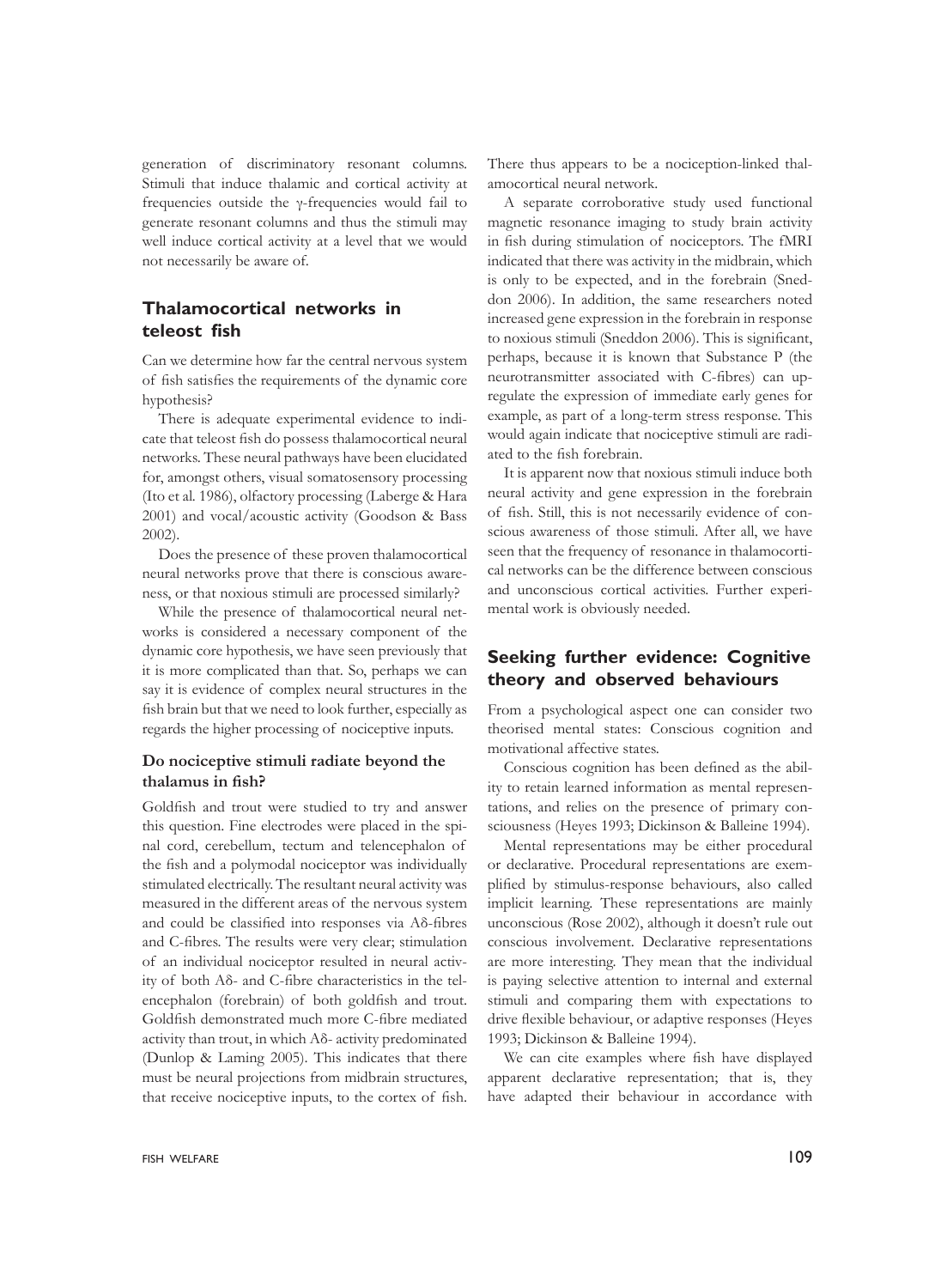generation of discriminatory resonant columns. Stimuli that induce thalamic and cortical activity at frequencies outside the γ-frequencies would fail to generate resonant columns and thus the stimuli may well induce cortical activity at a level that we would not necessarily be aware of.

## **Thalamocortical networks in teleost fish**

Can we determine how far the central nervous system of fish satisfies the requirements of the dynamic core hypothesis?

There is adequate experimental evidence to indicate that teleost fish do possess thalamocortical neural networks. These neural pathways have been elucidated for, amongst others, visual somatosensory processing (Ito et al*.* 1986), olfactory processing (Laberge & Hara 2001) and vocal/acoustic activity (Goodson & Bass 2002).

Does the presence of these proven thalamocortical neural networks prove that there is conscious awareness, or that noxious stimuli are processed similarly?

While the presence of thalamocortical neural networks is considered a necessary component of the dynamic core hypothesis, we have seen previously that it is more complicated than that. So, perhaps we can say it is evidence of complex neural structures in the fish brain but that we need to look further, especially as regards the higher processing of nociceptive inputs.

## **Do nociceptive stimuli radiate beyond the thalamus in fish?**

Goldfish and trout were studied to try and answer this question. Fine electrodes were placed in the spinal cord, cerebellum, tectum and telencephalon of the fish and a polymodal nociceptor was individually stimulated electrically. The resultant neural activity was measured in the different areas of the nervous system and could be classified into responses via Aδ-fibres and C-fibres. The results were very clear; stimulation of an individual nociceptor resulted in neural activity of both Aδ- and C-fibre characteristics in the telencephalon (forebrain) of both goldfish and trout. Goldfish demonstrated much more C-fibre mediated activity than trout, in which Aδ- activity predominated (Dunlop & Laming 2005). This indicates that there must be neural projections from midbrain structures, that receive nociceptive inputs, to the cortex of fish.

A separate corroborative study used functional magnetic resonance imaging to study brain activity in fish during stimulation of nociceptors. The fMRI indicated that there was activity in the midbrain, which is only to be expected, and in the forebrain (Sneddon 2006). In addition, the same researchers noted increased gene expression in the forebrain in response to noxious stimuli (Sneddon 2006). This is significant, perhaps, because it is known that Substance P (the neurotransmitter associated with C-fibres) can upregulate the expression of immediate early genes for example, as part of a long-term stress response. This would again indicate that nociceptive stimuli are radiated to the fish forebrain.

It is apparent now that noxious stimuli induce both neural activity and gene expression in the forebrain of fish. Still, this is not necessarily evidence of conscious awareness of those stimuli. After all, we have seen that the frequency of resonance in thalamocortical networks can be the difference between conscious and unconscious cortical activities. Further experimental work is obviously needed.

## **Seeking further evidence: Cognitive theory and observed behaviours**

From a psychological aspect one can consider two theorised mental states: Conscious cognition and motivational affective states.

Conscious cognition has been defined as the ability to retain learned information as mental representations, and relies on the presence of primary consciousness (Heyes 1993; Dickinson & Balleine 1994).

Mental representations may be either procedural or declarative. Procedural representations are exemplified by stimulus-response behaviours, also called implicit learning. These representations are mainly unconscious (Rose 2002), although it doesn't rule out conscious involvement. Declarative representations are more interesting. They mean that the individual is paying selective attention to internal and external stimuli and comparing them with expectations to drive flexible behaviour, or adaptive responses (Heyes 1993; Dickinson & Balleine 1994).

We can cite examples where fish have displayed apparent declarative representation; that is, they have adapted their behaviour in accordance with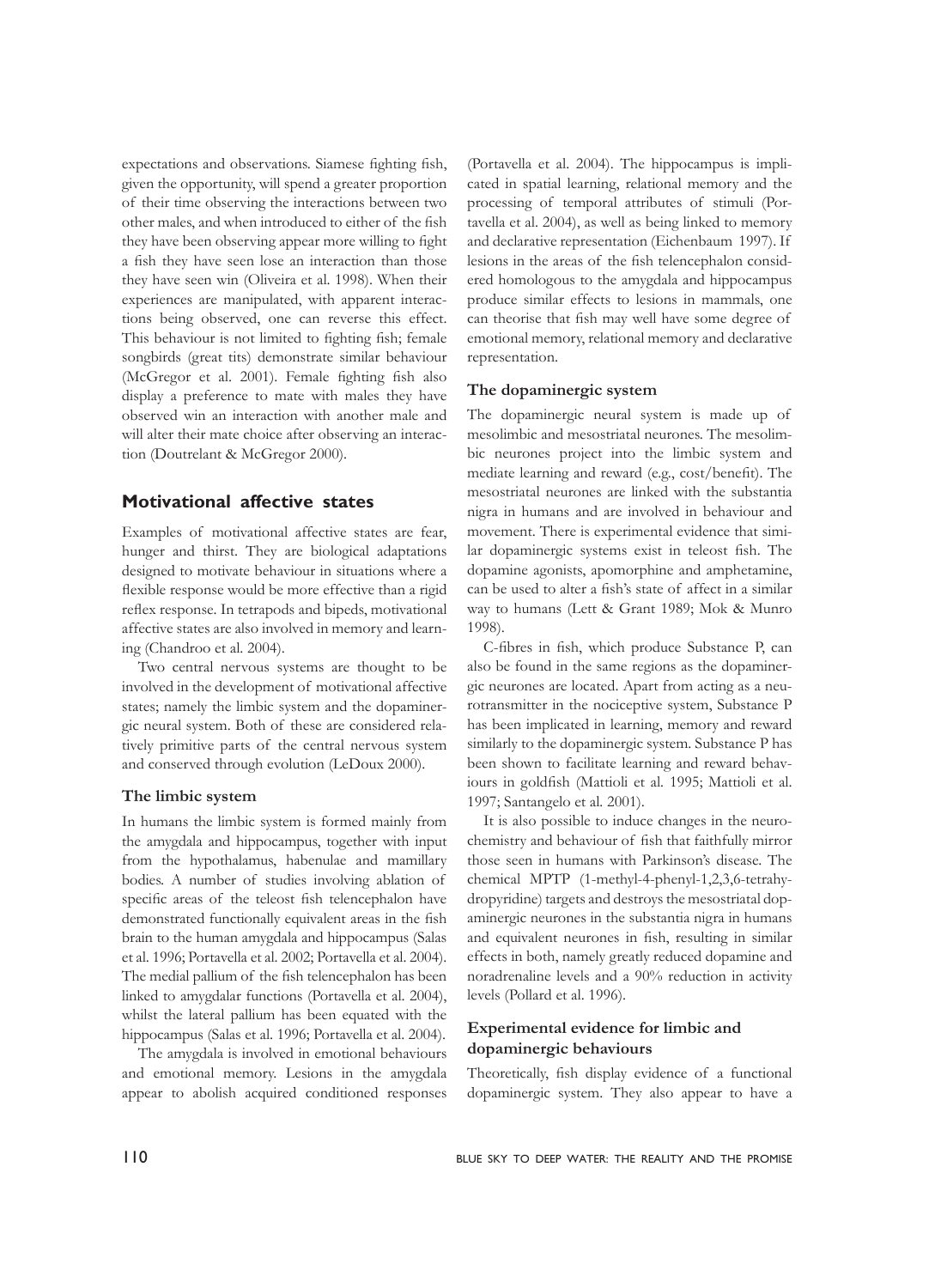expectations and observations. Siamese fighting fish, given the opportunity, will spend a greater proportion of their time observing the interactions between two other males, and when introduced to either of the fish they have been observing appear more willing to fight a fish they have seen lose an interaction than those they have seen win (Oliveira et al. 1998). When their experiences are manipulated, with apparent interactions being observed, one can reverse this effect. This behaviour is not limited to fighting fish; female songbirds (great tits) demonstrate similar behaviour (McGregor et al. 2001). Female fighting fish also display a preference to mate with males they have observed win an interaction with another male and will alter their mate choice after observing an interaction (Doutrelant & McGregor 2000).

## **Motivational affective states**

Examples of motivational affective states are fear, hunger and thirst. They are biological adaptations designed to motivate behaviour in situations where a flexible response would be more effective than a rigid reflex response. In tetrapods and bipeds, motivational affective states are also involved in memory and learning (Chandroo et al. 2004).

Two central nervous systems are thought to be involved in the development of motivational affective states; namely the limbic system and the dopaminergic neural system. Both of these are considered relatively primitive parts of the central nervous system and conserved through evolution (LeDoux 2000).

#### **The limbic system**

In humans the limbic system is formed mainly from the amygdala and hippocampus, together with input from the hypothalamus, habenulae and mamillary bodies. A number of studies involving ablation of specific areas of the teleost fish telencephalon have demonstrated functionally equivalent areas in the fish brain to the human amygdala and hippocampus (Salas et al. 1996; Portavella et al. 2002; Portavella et al. 2004). The medial pallium of the fish telencephalon has been linked to amygdalar functions (Portavella et al. 2004), whilst the lateral pallium has been equated with the hippocampus (Salas et al. 1996; Portavella et al. 2004).

The amygdala is involved in emotional behaviours and emotional memory. Lesions in the amygdala appear to abolish acquired conditioned responses

(Portavella et al. 2004). The hippocampus is implicated in spatial learning, relational memory and the processing of temporal attributes of stimuli (Portavella et al. 2004), as well as being linked to memory and declarative representation (Eichenbaum 1997). If lesions in the areas of the fish telencephalon considered homologous to the amygdala and hippocampus produce similar effects to lesions in mammals, one can theorise that fish may well have some degree of emotional memory, relational memory and declarative representation.

#### **The dopaminergic system**

The dopaminergic neural system is made up of mesolimbic and mesostriatal neurones. The mesolimbic neurones project into the limbic system and mediate learning and reward (e.g., cost/benefit). The mesostriatal neurones are linked with the substantia nigra in humans and are involved in behaviour and movement. There is experimental evidence that similar dopaminergic systems exist in teleost fish. The dopamine agonists, apomorphine and amphetamine, can be used to alter a fish's state of affect in a similar way to humans (Lett & Grant 1989; Mok & Munro 1998).

C-fibres in fish, which produce Substance P, can also be found in the same regions as the dopaminergic neurones are located. Apart from acting as a neurotransmitter in the nociceptive system, Substance P has been implicated in learning, memory and reward similarly to the dopaminergic system. Substance P has been shown to facilitate learning and reward behaviours in goldfish (Mattioli et al*.* 1995; Mattioli et al. 1997; Santangelo et al*.* 2001).

It is also possible to induce changes in the neurochemistry and behaviour of fish that faithfully mirror those seen in humans with Parkinson's disease. The chemical MPTP (1-methyl-4-phenyl-1,2,3,6-tetrahydropyridine) targets and destroys the mesostriatal dopaminergic neurones in the substantia nigra in humans and equivalent neurones in fish, resulting in similar effects in both, namely greatly reduced dopamine and noradrenaline levels and a 90% reduction in activity levels (Pollard et al. 1996).

### **Experimental evidence for limbic and dopaminergic behaviours**

Theoretically, fish display evidence of a functional dopaminergic system. They also appear to have a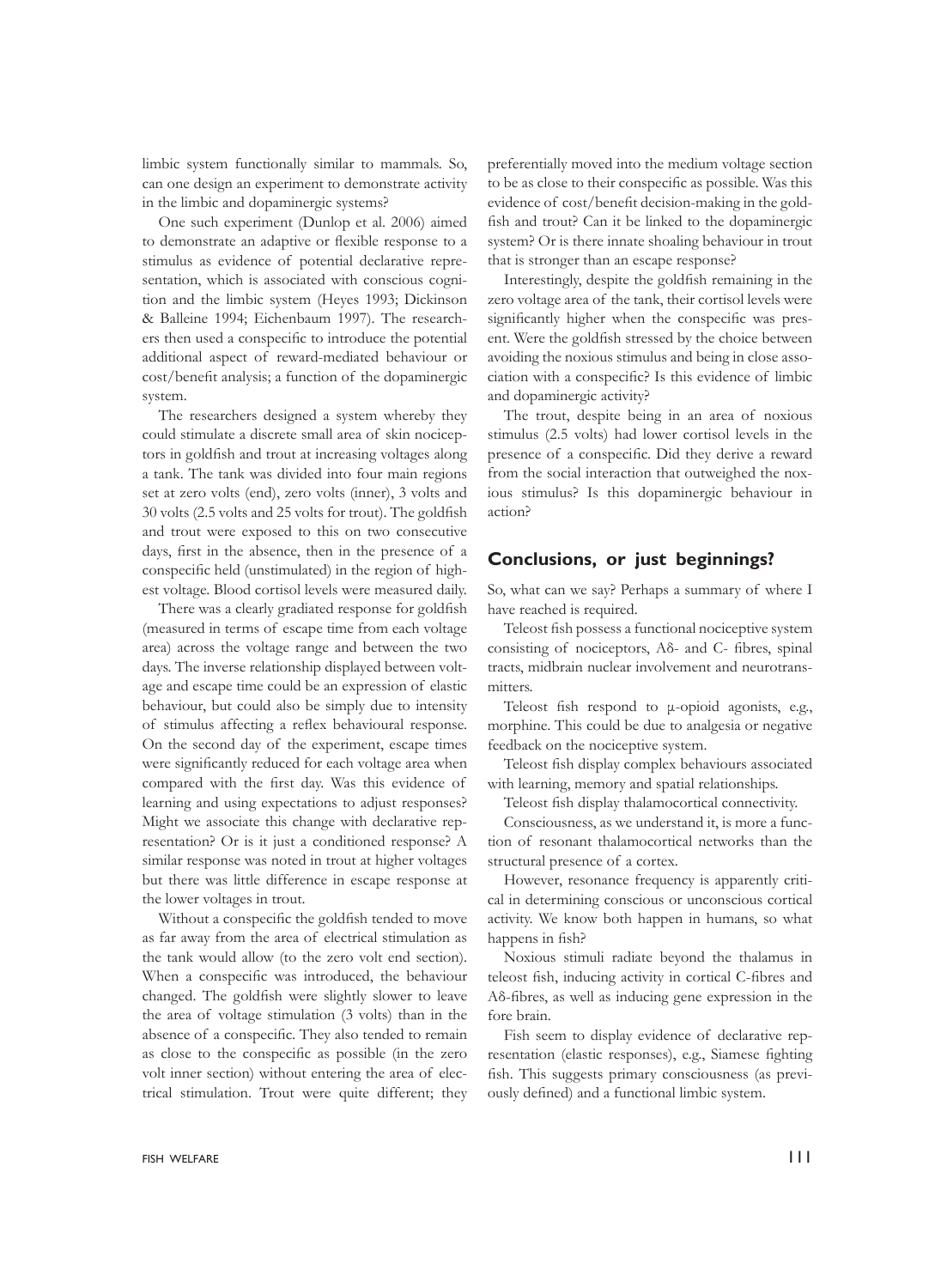limbic system functionally similar to mammals. So, can one design an experiment to demonstrate activity in the limbic and dopaminergic systems?

One such experiment (Dunlop et al. 2006) aimed to demonstrate an adaptive or flexible response to a stimulus as evidence of potential declarative representation, which is associated with conscious cognition and the limbic system (Heyes 1993; Dickinson & Balleine 1994; Eichenbaum 1997). The researchers then used a conspecific to introduce the potential additional aspect of reward-mediated behaviour or cost/benefit analysis; a function of the dopaminergic system.

The researchers designed a system whereby they could stimulate a discrete small area of skin nociceptors in goldfish and trout at increasing voltages along a tank. The tank was divided into four main regions set at zero volts (end), zero volts (inner), 3 volts and 30 volts (2.5 volts and 25 volts for trout). The goldfish and trout were exposed to this on two consecutive days, first in the absence, then in the presence of a conspecific held (unstimulated) in the region of highest voltage. Blood cortisol levels were measured daily.

There was a clearly gradiated response for goldfish (measured in terms of escape time from each voltage area) across the voltage range and between the two days. The inverse relationship displayed between voltage and escape time could be an expression of elastic behaviour, but could also be simply due to intensity of stimulus affecting a reflex behavioural response. On the second day of the experiment, escape times were significantly reduced for each voltage area when compared with the first day. Was this evidence of learning and using expectations to adjust responses? Might we associate this change with declarative representation? Or is it just a conditioned response? A similar response was noted in trout at higher voltages but there was little difference in escape response at the lower voltages in trout.

Without a conspecific the goldfish tended to move as far away from the area of electrical stimulation as the tank would allow (to the zero volt end section). When a conspecific was introduced, the behaviour changed. The goldfish were slightly slower to leave the area of voltage stimulation (3 volts) than in the absence of a conspecific. They also tended to remain as close to the conspecific as possible (in the zero volt inner section) without entering the area of electrical stimulation. Trout were quite different; they

preferentially moved into the medium voltage section to be as close to their conspecific as possible. Was this evidence of cost/benefit decision-making in the goldfish and trout? Can it be linked to the dopaminergic system? Or is there innate shoaling behaviour in trout that is stronger than an escape response?

Interestingly, despite the goldfish remaining in the zero voltage area of the tank, their cortisol levels were significantly higher when the conspecific was present. Were the goldfish stressed by the choice between avoiding the noxious stimulus and being in close association with a conspecific? Is this evidence of limbic and dopaminergic activity?

The trout, despite being in an area of noxious stimulus (2.5 volts) had lower cortisol levels in the presence of a conspecific. Did they derive a reward from the social interaction that outweighed the noxious stimulus? Is this dopaminergic behaviour in action?

## **Conclusions, or just beginnings?**

So, what can we say? Perhaps a summary of where I have reached is required.

Teleost fish possess a functional nociceptive system consisting of nociceptors, Aδ- and C- fibres, spinal tracts, midbrain nuclear involvement and neurotransmitters.

Teleost fish respond to μ-opioid agonists, e.g., morphine. This could be due to analgesia or negative feedback on the nociceptive system.

Teleost fish display complex behaviours associated with learning, memory and spatial relationships.

Teleost fish display thalamocortical connectivity.

Consciousness, as we understand it, is more a function of resonant thalamocortical networks than the structural presence of a cortex.

However, resonance frequency is apparently critical in determining conscious or unconscious cortical activity. We know both happen in humans, so what happens in fish?

Noxious stimuli radiate beyond the thalamus in teleost fish, inducing activity in cortical C-fibres and Aδ-fibres, as well as inducing gene expression in the fore brain.

Fish seem to display evidence of declarative representation (elastic responses), e.g., Siamese fighting fish. This suggests primary consciousness (as previously defined) and a functional limbic system.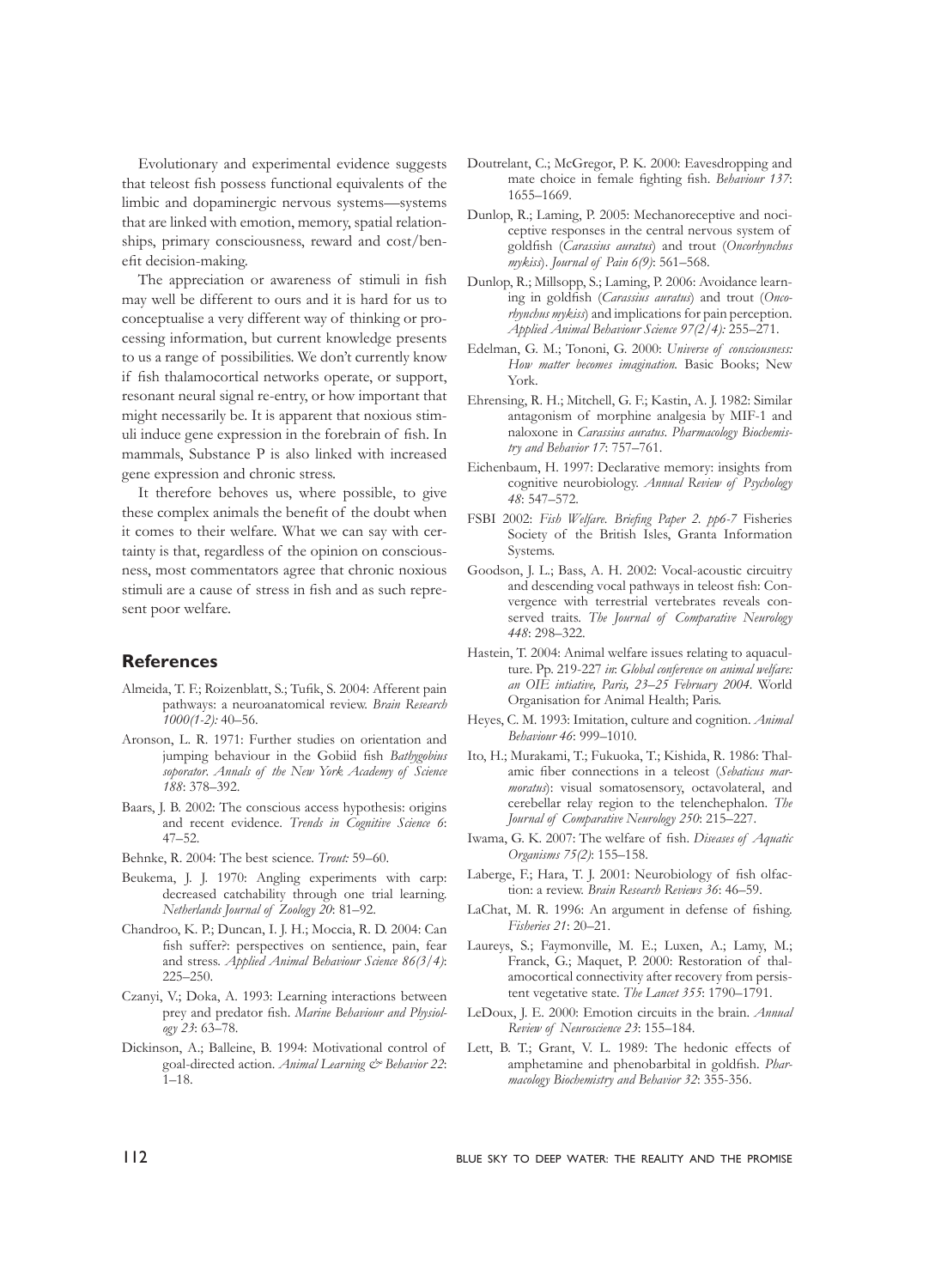Evolutionary and experimental evidence suggests that teleost fish possess functional equivalents of the limbic and dopaminergic nervous systems—systems that are linked with emotion, memory, spatial relationships, primary consciousness, reward and cost/benefit decision-making.

The appreciation or awareness of stimuli in fish may well be different to ours and it is hard for us to conceptualise a very different way of thinking or processing information, but current knowledge presents to us a range of possibilities. We don't currently know if fish thalamocortical networks operate, or support, resonant neural signal re-entry, or how important that might necessarily be. It is apparent that noxious stimuli induce gene expression in the forebrain of fish. In mammals, Substance P is also linked with increased gene expression and chronic stress.

It therefore behoves us, where possible, to give these complex animals the benefit of the doubt when it comes to their welfare. What we can say with certainty is that, regardless of the opinion on consciousness, most commentators agree that chronic noxious stimuli are a cause of stress in fish and as such represent poor welfare.

## **References**

- Almeida, T. F.; Roizenblatt, S.; Tufik, S. 2004: Afferent pain pathways: a neuroanatomical review. *Brain Research 1000(1-2):* 40–56.
- Aronson, L. R. 1971: Further studies on orientation and jumping behaviour in the Gobiid fish *Bathygobius soporator*. *Annals of the New York Academy of Science 188*: 378–392.
- Baars, J. B. 2002: The conscious access hypothesis: origins and recent evidence. *Trends in Cognitive Science 6*: 47–52.
- Behnke, R. 2004: The best science. *Trout:* 59–60.
- Beukema, J. J. 1970: Angling experiments with carp: decreased catchability through one trial learning. *Netherlands Journal of Zoology 20*: 81–92.
- Chandroo, K. P.; Duncan, I. J. H.; Moccia, R. D. 2004: Can fish suffer?: perspectives on sentience, pain, fear and stress. *Applied Animal Behaviour Science 86(3/4)*: 225–250.
- Czanyi, V.; Doka, A. 1993: Learning interactions between prey and predator fish. *Marine Behaviour and Physiology 23*: 63–78.
- Dickinson, A.; Balleine, B. 1994: Motivational control of goal-directed action. *Animal Learning & Behavior 22*: 1–18.
- Doutrelant, C.; McGregor, P. K. 2000: Eavesdropping and mate choice in female fighting fish. *Behaviour 137*: 1655–1669.
- Dunlop, R.; Laming, P. 2005: Mechanoreceptive and nociceptive responses in the central nervous system of goldfish (*Carassius auratus*) and trout (*Oncorhynchus mykiss*). *Journal of Pain 6(9)*: 561–568.
- Dunlop, R.; Millsopp, S.; Laming, P. 2006: Avoidance learning in goldfish (*Carassius auratus*) and trout (*Oncorhynchus mykiss*) and implications for pain perception. *Applied Animal Behaviour Science 97(2/4):* 255–271.
- Edelman, G. M.; Tononi, G. 2000: *Universe of consciousness: How matter becomes imagination.* Basic Books; New York.
- Ehrensing, R. H.; Mitchell, G. F.; Kastin, A. J. 1982: Similar antagonism of morphine analgesia by MIF-1 and naloxone in *Carassius auratus*. *Pharmacology Biochemistry and Behavior 17*: 757–761.
- Eichenbaum, H. 1997: Declarative memory: insights from cognitive neurobiology. *Annual Review of Psychology 48*: 547–572.
- FSBI 2002: *Fish Welfare. Briefing Paper 2. pp6-7* Fisheries Society of the British Isles, Granta Information Systems.
- Goodson, J. L.; Bass, A. H. 2002: Vocal-acoustic circuitry and descending vocal pathways in teleost fish: Convergence with terrestrial vertebrates reveals conserved traits. *The Journal of Comparative Neurology 448*: 298–322.
- Hastein, T. 2004: Animal welfare issues relating to aquaculture. Pp. 219-227 *in*: *Global conference on animal welfare: an OIE intiative, Paris, 23*–*25 February 2004.* World Organisation for Animal Health; Paris.
- Heyes, C. M. 1993: Imitation, culture and cognition. *Animal Behaviour 46*: 999–1010.
- Ito, H.; Murakami, T.; Fukuoka, T.; Kishida, R. 1986: Thalamic fiber connections in a teleost (*Sebaticus marmoratus*): visual somatosensory, octavolateral, and cerebellar relay region to the telenchephalon. *The Journal of Comparative Neurology 250*: 215–227.
- Iwama, G. K. 2007: The welfare of fish. *Diseases of Aquatic Organisms 75(2)*: 155–158.
- Laberge, F.; Hara, T. J. 2001: Neurobiology of fish olfaction: a review. *Brain Research Reviews 36*: 46–59.
- LaChat, M. R. 1996: An argument in defense of fishing. *Fisheries 21*: 20–21.
- Laureys, S.; Faymonville, M. E.; Luxen, A.; Lamy, M.; Franck, G.; Maquet, P. 2000: Restoration of thalamocortical connectivity after recovery from persistent vegetative state. *The Lancet 355*: 1790–1791.
- LeDoux, J. E. 2000: Emotion circuits in the brain. *Annual Review of Neuroscience 23*: 155–184.
- Lett, B. T.; Grant, V. L. 1989: The hedonic effects of amphetamine and phenobarbital in goldfish. *Pharmacology Biochemistry and Behavior 32*: 355-356.